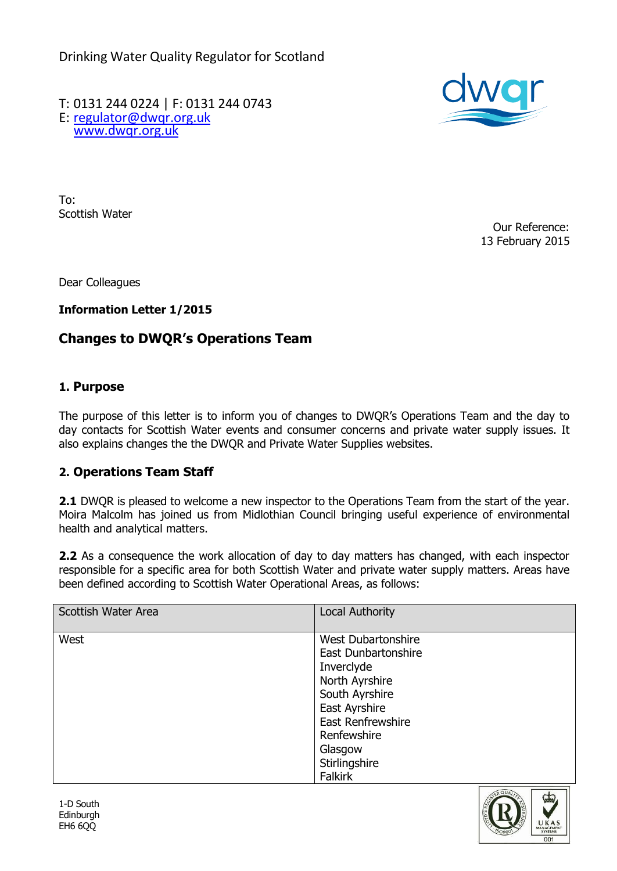Drinking Water Quality Regulator for Scotland

T: 0131 244 0224 | F: 0131 244 0743 E: [regulator@dwqr.org.uk](mailto:regulator@dwqr.org.uk)  [www.dwqr.org.uk](http://www.dwqr.org.uk/)



To: Scottish Water

Our Reference: 13 February 2015

Dear Colleagues

**Information Letter 1/2015**

## **Changes to DWQR's Operations Team**

## **1. Purpose**

The purpose of this letter is to inform you of changes to DWQR's Operations Team and the day to day contacts for Scottish Water events and consumer concerns and private water supply issues. It also explains changes the the DWQR and Private Water Supplies websites.

## **2. Operations Team Staff**

**2.1** DWQR is pleased to welcome a new inspector to the Operations Team from the start of the year. Moira Malcolm has joined us from Midlothian Council bringing useful experience of environmental health and analytical matters.

**2.2** As a consequence the work allocation of day to day matters has changed, with each inspector responsible for a specific area for both Scottish Water and private water supply matters. Areas have been defined according to Scottish Water Operational Areas, as follows:

| West<br><b>West Dubartonshire</b><br>East Dunbartonshire<br>Inverclyde<br>North Ayrshire<br>South Ayrshire<br>East Ayrshire<br><b>East Renfrewshire</b><br>Renfewshire<br>Glasgow<br>Stirlingshire<br><b>Falkirk</b> | Scottish Water Area | <b>Local Authority</b> |
|----------------------------------------------------------------------------------------------------------------------------------------------------------------------------------------------------------------------|---------------------|------------------------|
|                                                                                                                                                                                                                      |                     |                        |

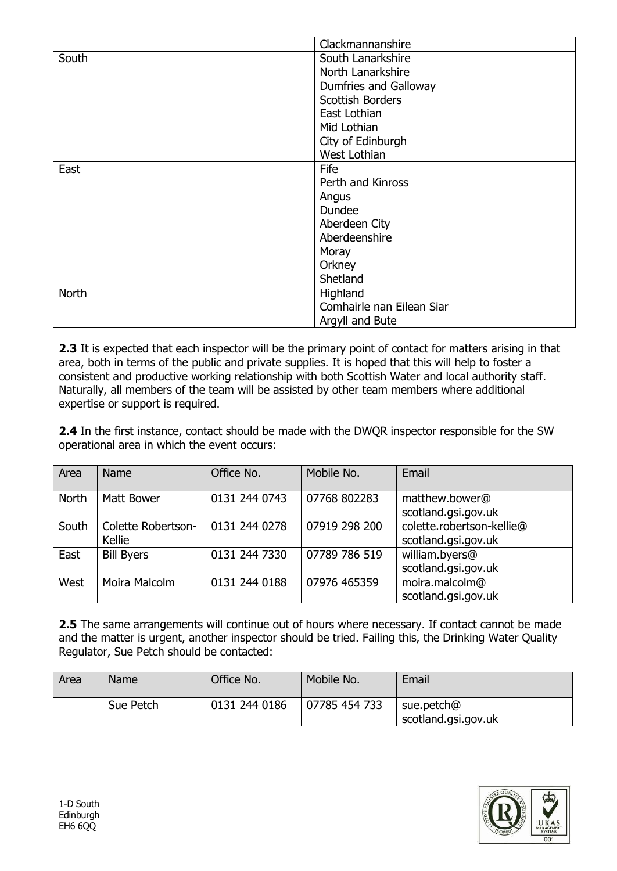|              | Clackmannanshire          |  |
|--------------|---------------------------|--|
| South        | South Lanarkshire         |  |
|              | North Lanarkshire         |  |
|              | Dumfries and Galloway     |  |
|              | <b>Scottish Borders</b>   |  |
|              | East Lothian              |  |
|              | Mid Lothian               |  |
|              | City of Edinburgh         |  |
|              | West Lothian              |  |
| East         | Fife                      |  |
|              | Perth and Kinross         |  |
|              | Angus                     |  |
|              | Dundee                    |  |
|              | Aberdeen City             |  |
|              | Aberdeenshire             |  |
|              | Moray                     |  |
|              | Orkney                    |  |
|              | Shetland                  |  |
| <b>North</b> | Highland                  |  |
|              | Comhairle nan Eilean Siar |  |
|              | Argyll and Bute           |  |

2.3 It is expected that each inspector will be the primary point of contact for matters arising in that area, both in terms of the public and private supplies. It is hoped that this will help to foster a consistent and productive working relationship with both Scottish Water and local authority staff. Naturally, all members of the team will be assisted by other team members where additional expertise or support is required.

**2.4** In the first instance, contact should be made with the DWQR inspector responsible for the SW operational area in which the event occurs:

| Area         | <b>Name</b>                  | Office No.    | Mobile No.    | Email                                            |
|--------------|------------------------------|---------------|---------------|--------------------------------------------------|
| <b>North</b> | <b>Matt Bower</b>            | 0131 244 0743 | 07768 802283  | matthew.bower@<br>scotland.gsi.gov.uk            |
| South        | Colette Robertson-<br>Kellie | 0131 244 0278 | 07919 298 200 | colette.robertson-kellie@<br>scotland.gsi.gov.uk |
| East         | <b>Bill Byers</b>            | 0131 244 7330 | 07789 786 519 | william.byers@<br>scotland.gsi.gov.uk            |
| West         | Moira Malcolm                | 0131 244 0188 | 07976 465359  | moira.malcolm@<br>scotland.gsi.gov.uk            |

**2.5** The same arrangements will continue out of hours where necessary. If contact cannot be made and the matter is urgent, another inspector should be tried. Failing this, the Drinking Water Quality Regulator, Sue Petch should be contacted:

| Area | Name      | Office No.    | Mobile No.    | Email                             |
|------|-----------|---------------|---------------|-----------------------------------|
|      | Sue Petch | 0131 244 0186 | 07785 454 733 | sue.petch@<br>scotland.gsi.gov.uk |